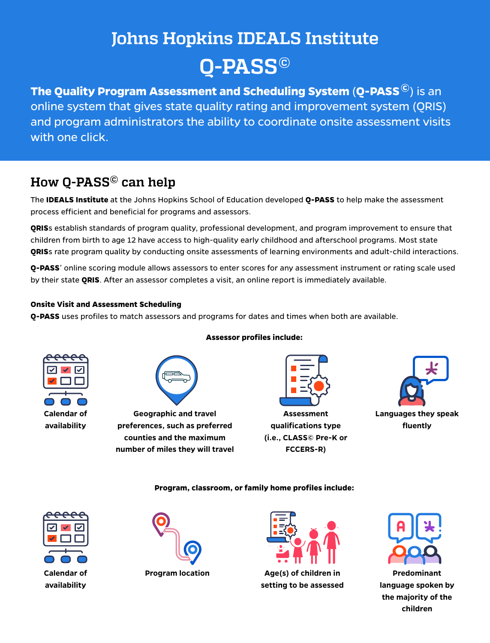# **Johns Hopkins IDEALS Institute Q-PASS©**

**The Quality Program Assessment and Scheduling System** (**Q-PASS ©**) is an online system that gives state quality rating and improvement system (QRIS) and program administrators the ability to coordinate onsite assessment visits with one click.

### **How Q-PASS© can help**

The **IDEALS Institute** at the Johns Hopkins School of Education developed **Q-PASS** to help make the assessment process efficient and beneficial for programs and assessors.

**QRIS**s establish standards of program quality, professional development, and program improvement to ensure that children from birth to age 12 have access to high-quality early childhood and afterschool programs. Most state **QRIS**s rate program quality by conducting onsite assessments of learning environments and adult-child interactions.

**Q-PASS**' online scoring module allows assessors to enter scores for any assessment instrument or rating scale used by their state **QRIS**. After an assessor completes a visit, an online report is immediately available.

### **Onsite Visit and Assessment Scheduling**

**Q-PASS** uses profiles to match assessors and programs for dates and times when both are available.





**counties and the maximum number of miles they will travel**

### **Assessor profiles include:**



**Assessment qualifications type (i.e., CLASS© Pre-K or FCCERS-R)**



**Program, classroom, or family home profiles include:**







**Program location Age(s) of children in setting to be assessed**



**Predominant language spoken by the majority of the children**